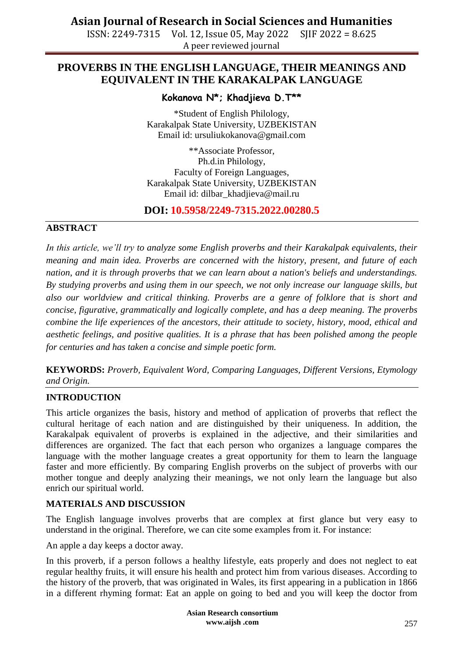ISSN: 2249-7315 Vol. 12, Issue 05, May 2022 SJIF 2022 = 8.625 A peer reviewed journal

### **PROVERBS IN THE ENGLISH LANGUAGE, THEIR MEANINGS AND EQUIVALENT IN THE KARAKALPAK LANGUAGE**

### **Kokanova N\*; Khadjieva D.T\*\***

\*Student of English Philology, Karakalpak State University, UZBEKISTAN Email id: ursuliukokanova@gmail.com

\*\*Associate Professor, Ph.d.in Philology, Faculty of Foreign Languages, Karakalpak State University, UZBEKISTAN Email id: [dilbar\\_khadjieva@mail.ru](mailto:dilbar_khadjieva@mail.ru)

**DOI: 10.5958/2249-7315.2022.00280.5**

### **ABSTRACT**

*In this article, we'll try to analyze some English proverbs and their Karakalpak equivalents, their meaning and main idea. Proverbs are concerned with the history, present, and future of each nation, and it is through proverbs that we can learn about a nation's beliefs and understandings. By studying proverbs and using them in our speech, we not only increase our language skills, but also our worldview and critical thinking. Proverbs are a genre of folklore that is short and concise, figurative, grammatically and logically complete, and has a deep meaning. The proverbs combine the life experiences of the ancestors, their attitude to society, history, mood, ethical and aesthetic feelings, and positive qualities. It is a phrase that has been polished among the people for centuries and has taken a concise and simple poetic form.*

**KEYWORDS:** *Proverb, Equivalent Word, Comparing Languages, Different Versions, Etymology and Origin.*

### **INTRODUCTION**

This article organizes the basis, history and method of application of proverbs that reflect the cultural heritage of each nation and are distinguished by their uniqueness. In addition, the Karakalpak equivalent of proverbs is explained in the adjective, and their similarities and differences are organized. The fact that each person who organizes a language compares the language with the mother language creates a great opportunity for them to learn the language faster and more efficiently. By comparing English proverbs on the subject of proverbs with our mother tongue and deeply analyzing their meanings, we not only learn the language but also enrich our spiritual world.

#### **MATERIALS AND DISCUSSION**

The English language involves proverbs that are complex at first glance but very easy to understand in the original. Therefore, we can cite some examples from it. For instance:

An apple a day keeps a doctor away.

In this proverb, if a person follows a healthy lifestyle, eats properly and does not neglect to eat regular healthy fruits, it will ensure his health and protect him from various diseases. According to the history of the proverb, that was originated in Wales, its first appearing in a publication in 1866 in a different rhyming format: Eat an apple on going to bed and you will keep the doctor from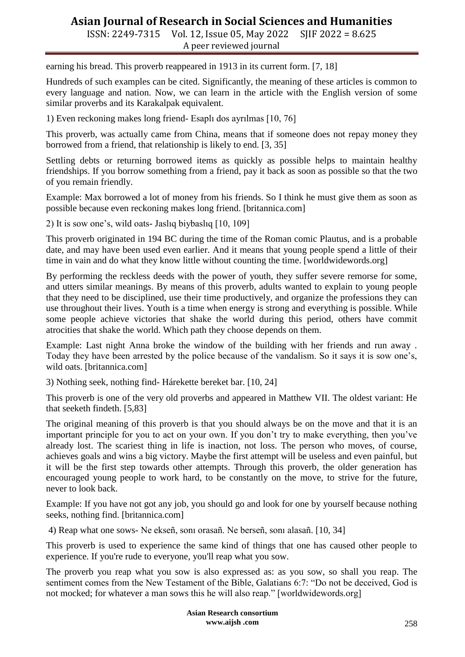ISSN: 2249-7315 Vol. 12, Issue 05, May 2022 SJIF 2022 = 8.625 A peer reviewed journal

earning his bread. This proverb reappeared in 1913 in its current form. [7, 18]

Hundreds of such examples can be cited. Significantly, the meaning of these articles is common to every language and nation. Now, we can learn in the article with the English version of some similar proverbs and its Karakalpak equivalent.

1) Even reckoning makes long friend- Esaplı dos ayrılmas [10, 76]

This proverb, was actually came from China, means that if someone does not repay money they borrowed from a friend, that relationship is likely to end. [3, 35]

Settling debts or returning borrowed items as quickly as possible helps to maintain healthy friendships. If you borrow something from a friend, pay it back as soon as possible so that the two of you remain friendly.

Example: Max borrowed a lot of money from his friends. So I think he must give them as soon as possible because even reckoning makes long friend. [britannica.com]

2) It is sow one's, wild oats- Jaslıq biybaslıq [10, 109]

This proverb originated in 194 BC during the time of the Roman comic Plautus, and is a probable date, and may have been used even earlier. And it means that young people spend a little of their time in vain and do what they know little without counting the time. [worldwidewords.org]

By performing the reckless deeds with the power of youth, they suffer severe remorse for some, and utters similar meanings. By means of this proverb, adults wanted to explain to young people that they need to be disciplined, use their time productively, and organize the professions they can use throughout their lives. Youth is a time when energy is strong and everything is possible. While some people achieve victories that shake the world during this period, others have commit atrocities that shake the world. Which path they choose depends on them.

Example: Last night Anna broke the window of the building with her friends and run away . Today they have been arrested by the police because of the vandalism. So it says it is sow one's, wild oats. [britannica.com]

3) Nothing seek, nothing find- Hárekette bereket bar. [10, 24]

This proverb is one of the very old proverbs and appeared in Matthew VII. The oldest variant: He that seeketh findeth. [5,83]

The original meaning of this proverb is that you should always be on the move and that it is an important principle for you to act on your own. If you don't try to make everything, then you've already lost. The scariest thing in life is inaction, not loss. The person who moves, of course, achieves goals and wins a big victory. Maybe the first attempt will be useless and even painful, but it will be the first step towards other attempts. Through this proverb, the older generation has encouraged young people to work hard, to be constantly on the move, to strive for the future, never to look back.

Example: If you have not got any job, you should go and look for one by yourself because nothing seeks, nothing find. [britannica.com]

4) Reap what one sows- Ne ekseñ, sonı orasañ. Ne berseñ, sonı alasañ. [10, 34]

This proverb is used to experience the same kind of things that one has caused other people to experience. If you're rude to everyone, you'll reap what you sow.

The proverb you reap what you sow is also expressed as: as you sow, so shall you reap. The sentiment comes from the New Testament of the Bible, Galatians 6:7: "Do not be deceived, God is not mocked; for whatever a man sows this he will also reap." [worldwidewords.org]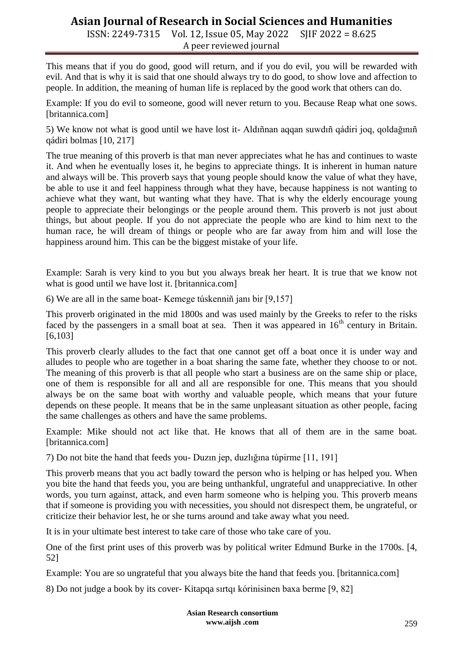ISSN: 2249-7315 Vol. 12, Issue 05, May 2022 SJIF 2022 = 8.625 A peer reviewed journal

This means that if you do good, good will return, and if you do evil, you will be rewarded with evil. And that is why it is said that one should always try to do good, to show love and affection to people. In addition, the meaning of human life is replaced by the good work that others can do.

Example: If you do evil to someone, good will never return to you. Because Reap what one sows. [britannica.com]

5) We know not what is good until we have lost it- Aldıñnan aqqan suwdıñ qádiri joq, qoldağınıñ qádiri bolmas [10, 217]

The true meaning of this proverb is that man never appreciates what he has and continues to waste it. And when he eventually loses it, he begins to appreciate things. It is inherent in human nature and always will be. This proverb says that young people should know the value of what they have, be able to use it and feel happiness through what they have, because happiness is not wanting to achieve what they want, but wanting what they have. That is why the elderly encourage young people to appreciate their belongings or the people around them. This proverb is not just about things, but about people. If you do not appreciate the people who are kind to him next to the human race, he will dream of things or people who are far away from him and will lose the happiness around him. This can be the biggest mistake of your life.

Example: Sarah is very kind to you but you always break her heart. It is true that we know not what is good until we have lost it. [britannica.com]

6) We are all in the same boat- Kemege túskenniñ janı bir [9,157]

This proverb originated in the mid 1800s and was used mainly by the Greeks to refer to the risks faced by the passengers in a small boat at sea. Then it was appeared in  $16<sup>th</sup>$  century in Britain. [6,103]

This proverb clearly alludes to the fact that one cannot get off a boat once it is under way and alludes to people who are together in a boat sharing the same fate, whether they choose to or not. The meaning of this proverb is that all people who start a business are on the same ship or place, one of them is responsible for all and all are responsible for one. This means that you should always be on the same boat with worthy and valuable people, which means that your future depends on these people. It means that be in the same unpleasant situation as other people, facing the same challenges as others and have the same problems.

Example: Mike should not act like that. He knows that all of them are in the same boat. [britannica.com]

7) Do not bite the hand that feeds you- Duzın jep, duzlığına túpirme [11, 191]

This proverb means that you act badly toward the person who is helping or has helped you. When you bite the hand that feeds you, you are being unthankful, ungrateful and unappreciative. In other words, you turn against, attack, and even harm someone who is helping you. This proverb means that if someone is providing you with necessities, you should not disrespect them, be ungrateful, or criticize their behavior lest, he or she turns around and take away what you need.

It is in your ultimate best interest to take care of those who take care of you.

One of the first print uses of this proverb was by political writer Edmund Burke in the 1700s. [4, 52]

Example: You are so ungrateful that you always bite the hand that feeds you. [britannica.com]

8) Do not judge a book by its cover- Kitapqa sırtqı kórinisinen baxa berme [9, 82]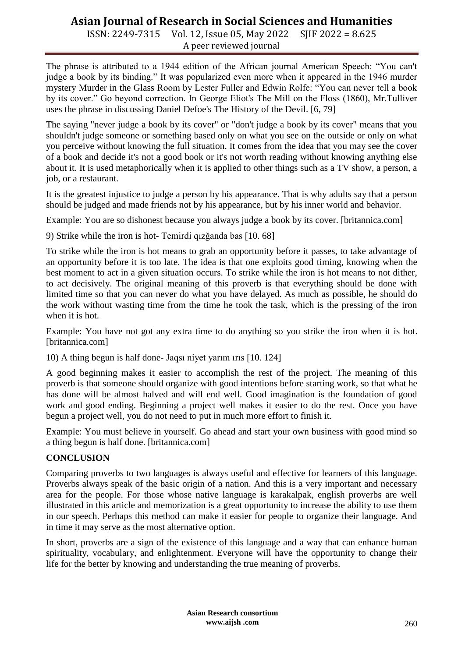ISSN: 2249-7315 Vol. 12, Issue 05, May 2022 SJIF 2022 = 8.625 A peer reviewed journal

The phrase is attributed to a 1944 edition of the African journal American Speech: "You can't judge a book by its binding." It was popularized even more when it appeared in the 1946 murder mystery Murder in the Glass Room by Lester Fuller and Edwin Rolfe: "You can never tell a book by its cover." Go beyond correction. In George Eliot's The Mill on the Floss (1860), Mr.Tulliver uses the phrase in discussing Daniel Defoe's The History of the Devil. [6, 79]

The saying "never judge a book by its cover" or "don't judge a book by its cover" means that you shouldn't judge someone or something based only on what you see on the outside or only on what you perceive without knowing the full situation. It comes from the idea that you may see the cover of a book and decide it's not a good book or it's not worth reading without knowing anything else about it. It is used metaphorically when it is applied to other things such as a TV show, a person, a job, or a restaurant.

It is the greatest injustice to judge a person by his appearance. That is why adults say that a person should be judged and made friends not by his appearance, but by his inner world and behavior.

Example: You are so dishonest because you always judge a book by its cover. [britannica.com]

9) Strike while the iron is hot- Temirdi qızğanda bas [10. 68]

To strike while the iron is hot means to grab an opportunity before it passes, to take advantage of an opportunity before it is too late. The idea is that one exploits good timing, knowing when the best moment to act in a given situation occurs. To strike while the iron is hot means to not dither, to act decisively. The original meaning of this proverb is that everything should be done with limited time so that you can never do what you have delayed. As much as possible, he should do the work without wasting time from the time he took the task, which is the pressing of the iron when it is hot.

Example: You have not got any extra time to do anything so you strike the iron when it is hot. [britannica.com]

10) A thing begun is half done- Jaqsı niyet yarım ırıs [10. 124]

A good beginning makes it easier to accomplish the rest of the project. The meaning of this proverb is that someone should organize with good intentions before starting work, so that what he has done will be almost halved and will end well. Good imagination is the foundation of good work and good ending. Beginning a project well makes it easier to do the rest. Once you have begun a project well, you do not need to put in much more effort to finish it.

Example: You must believe in yourself. Go ahead and start your own business with good mind so a thing begun is half done. [britannica.com]

### **CONCLUSION**

Comparing proverbs to two languages is always useful and effective for learners of this language. Proverbs always speak of the basic origin of a nation. And this is a very important and necessary area for the people. For those whose native language is karakalpak, english proverbs are well illustrated in this article and memorization is a great opportunity to increase the ability to use them in our speech. Perhaps this method can make it easier for people to organize their language. And in time it may serve as the most alternative option.

In short, proverbs are a sign of the existence of this language and a way that can enhance human spirituality, vocabulary, and enlightenment. Everyone will have the opportunity to change their life for the better by knowing and understanding the true meaning of proverbs.